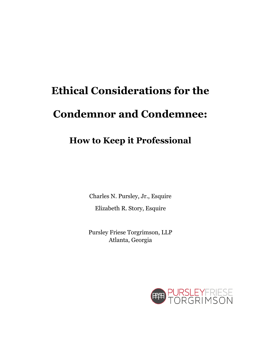# **Ethical Considerations for the Condemnor and Condemnee:**

## **How to Keep it Professional**

Charles N. Pursley, Jr., Esquire

Elizabeth R. Story, Esquire

Pursley Friese Torgrimson, LLP Atlanta, Georgia

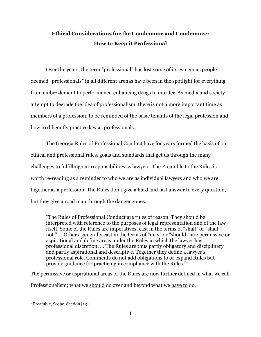## **Ethical Considerations for the Condemnor and Condemnee: How to Keep it Professional**

Over the years, the term "professional" has lost some of its esteem as people deemed "professionals" in all different arenas have been in the spotlight for everything from embezzlement to performance-enhancing drugs to murder. As media and society attempt to degrade the idea of professionalism, there is not a more important time as members of a profession, to be reminded of the basic tenants of the legal profession and how to diligently practice law as professionals.

The Georgia Rules of Professional Conduct have for years formed the basis of our ethical and professional rules, goals and standards that get us through the many challenges to fulfilling our responsibilities as lawyers. The Preamble to the Rules is worth re-reading as a reminder to who we are as individual lawyers and who we are together as a profession. The Rules don't give a hard and fast answer to every question, but they give a road map through the danger zones.

"The Rules of Professional Conduct are rules of reason. They should be interpreted with reference to the purposes of legal representation and of the law itself. Some of the Rules are imperatives, cast in the terms of "shall" or "shall not." … Others, generally cast in the terms of "may" or "should," are permissive or aspirational and define areas under the Rules in which the lawyer has professional discretion. … The Rules are thus partly obligatory and disciplinary and partly aspirational and descriptive. Together they define a lawyer's professional role. Comments do not add obligations to or expand Rules but provide guidance for practicing in compliance with the Rules."<sup>1</sup>

The permissive or aspirational areas of the Rules are now further defined in what we call Professionalism; what we should do over and beyond what we have to do.

j

<sup>1</sup> Preamble, Scope, Section [13].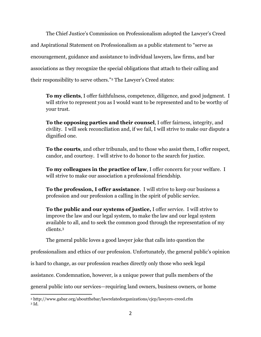The Chief Justice's Commission on Professionalism adopted the Lawyer's Creed and Aspirational Statement on Professionalism as a public statement to "serve as encouragement, guidance and assistance to individual lawyers, law firms, and bar associations as they recognize the special obligations that attach to their calling and their responsibility to serve others."<sup>2</sup> The Lawyer's Creed states:

**To my clients**, I offer faithfulness, competence, diligence, and good judgment. I will strive to represent you as I would want to be represented and to be worthy of your trust.

**To the opposing parties and their counsel**, I offer fairness, integrity, and civility. I will seek reconciliation and, if we fail, I will strive to make our dispute a dignified one.

**To the courts**, and other tribunals, and to those who assist them, I offer respect, candor, and courtesy. I will strive to do honor to the search for justice.

**To my colleagues in the practice of law**, I offer concern for your welfare. I will strive to make our association a professional friendship.

**To the profession, I offer assistance**. I will strive to keep our business a profession and our profession a calling in the spirit of public service.

**To the public and our systems of justice,** I offer service. I will strive to improve the law and our legal system, to make the law and our legal system available to all, and to seek the common good through the representation of my clients.<sup>3</sup>

The general public loves a good lawyer joke that calls into question the

professionalism and ethics of our profession. Unfortunately, the general public's opinion

is hard to change, as our profession reaches directly only those who seek legal

assistance. Condemnation, however, is a unique power that pulls members of the

general public into our services—requiring land owners, business owners, or home

 $\overline{a}$ 

<sup>2</sup> http://www.gabar.org/aboutthebar/lawrelatedorganizations/cjcp/lawyers-creed.cfm <sup>3</sup> Id.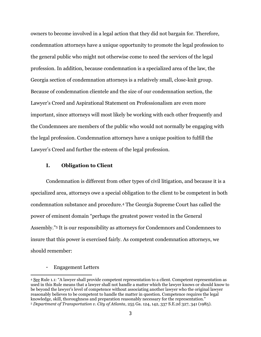owners to become involved in a legal action that they did not bargain for. Therefore, condemnation attorneys have a unique opportunity to promote the legal profession to the general public who might not otherwise come to need the services of the legal profession. In addition, because condemnation is a specialized area of the law, the Georgia section of condemnation attorneys is a relatively small, close-knit group. Because of condemnation clientele and the size of our condemnation section, the Lawyer's Creed and Aspirational Statement on Professionalism are even more important, since attorneys will most likely be working with each other frequently and the Condemnees are members of the public who would not normally be engaging with the legal profession. Condemnation attorneys have a unique position to fulfill the Lawyer's Creed and further the esteem of the legal profession.

#### **I. Obligation to Client**

Condemnation is different from other types of civil litigation, and because it is a specialized area, attorneys owe a special obligation to the client to be competent in both condemnation substance and procedure.<sup>4</sup> The Georgia Supreme Court has called the power of eminent domain "perhaps the greatest power vested in the General Assembly."<sup>5</sup> It is our responsibility as attorneys for Condemnors and Condemnees to insure that this power is exercised fairly. As competent condemnation attorneys, we should remember:

#### - Engagement Letters

 $\overline{a}$ 

<sup>4</sup> See Rule 1.1: "A lawyer shall provide competent representation to a client. Competent representation as used in this Rule means that a lawyer shall not handle a matter which the lawyer knows or should know to be beyond the lawyer's level of competence without associating another lawyer who the original lawyer reasonably believes to be competent to handle the matter in question. Competence requires the legal knowledge, skill, thoroughness and preparation reasonably necessary for the representation." <sup>5</sup> *Department of Transportation v. City of Atlanta*, 255 Ga. 124, 142, 337 S.E.2d 327, 341 (1985).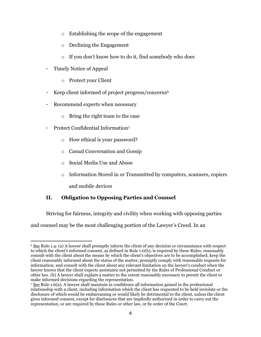- o Establishing the scope of the engagement
- o Declining the Engagement
- o If you don't know how to do it, find somebody who does
- Timely Notice of Appeal
	- o Protect your Client
- Keep client informed of project progress/concerns<sup>6</sup>
- Recommend experts when necessary
	- o Bring the right team to the case
- Protect Confidential Information7
	- o How ethical is your password?
	- o Casual Conversation and Gossip
	- o Social Media Use and Abuse
	- o Information Stored in or Transmitted by computers, scanners, copiers and mobile devices

## **II. Obligation to Opposing Parties and Counsel**

Striving for fairness, integrity and civility when working with opposing parties

and counsel may be the most challenging portion of the Lawyer's Creed. In an

j <sup>6</sup> See Rule 1.4: (a) A lawyer shall promptly inform the client of any decision or circumstance with respect to which the client's informed consent, as defined in Rule 1.0(h), is required by these Rules; reasonably consult with the client about the means by which the client's objectives are to be accomplished; keep the client reasonably informed about the status of the matter; promptly comply with reasonable requests for information; and consult with the client about any relevant limitation on the lawyer's conduct when the lawyer knows that the client expects assistance not permitted by the Rules of Professional Conduct or other law. (b) A lawyer shall explain a matter to the extent reasonably necessary to permit the client to make informed decisions regarding the representation.

<sup>7</sup> See Rule 1.6(a): A lawyer shall maintain in confidence all information gained in the professional relationship with a client, including information which the client has requested to be held inviolate or the disclosure of which would be embarrassing or would likely be detrimental to the client, unless the client gives informed consent, except for disclosures that are impliedly authorized in order to carry out the representation, or are required by these Rules or other law, or by order of the Court.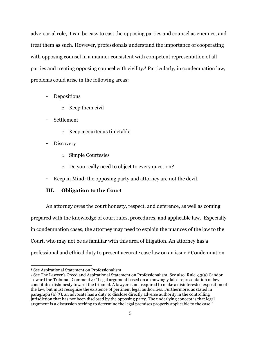adversarial role, it can be easy to cast the opposing parties and counsel as enemies, and treat them as such. However, professionals understand the importance of cooperating with opposing counsel in a manner consistent with competent representation of all parties and treating opposing counsel with civility.<sup>8</sup> Particularly, in condemnation law, problems could arise in the following areas:

- Depositions
	- o Keep them civil
- Settlement
	- o Keep a courteous timetable
- **Discovery** 
	- o Simple Courtesies
	- o Do you really need to object to every question?
- Keep in Mind: the opposing party and attorney are not the devil.

## **III. Obligation to the Court**

An attorney owes the court honesty, respect, and deference, as well as coming prepared with the knowledge of court rules, procedures, and applicable law. Especially in condemnation cases, the attorney may need to explain the nuances of the law to the Court, who may not be as familiar with this area of litigation. An attorney has a professional and ethical duty to present accurate case law on an issue.<sup>9</sup> Condemnation

j

<sup>8</sup> See Aspirational Statement on Professionalism

<sup>9</sup> See The Lawyer's Creed and Aspirational Statement on Professionalism. See also. Rule 3.3(a) Candor Toward the Tribunal, Comment 4: "Legal argument based on a knowingly false representation of law constitutes dishonesty toward the tribunal. A lawyer is not required to make a disinterested exposition of the law, but must recognize the existence of pertinent legal authorities. Furthermore, as stated in paragraph (a)(3), an advocate has a duty to disclose directly adverse authority in the controlling jurisdiction that has not been disclosed by the opposing party. The underlying concept is that legal argument is a discussion seeking to determine the legal premises properly applicable to the case."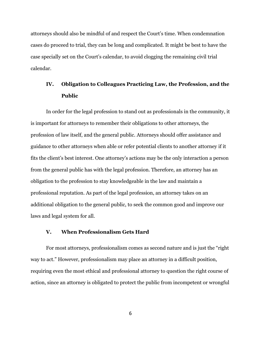attorneys should also be mindful of and respect the Court's time. When condemnation cases do proceed to trial, they can be long and complicated. It might be best to have the case specially set on the Court's calendar, to avoid clogging the remaining civil trial calendar.

## **IV. Obligation to Colleagues Practicing Law, the Profession, and the Public**

In order for the legal profession to stand out as professionals in the community, it is important for attorneys to remember their obligations to other attorneys, the profession of law itself, and the general public. Attorneys should offer assistance and guidance to other attorneys when able or refer potential clients to another attorney if it fits the client's best interest. One attorney's actions may be the only interaction a person from the general public has with the legal profession. Therefore, an attorney has an obligation to the profession to stay knowledgeable in the law and maintain a professional reputation. As part of the legal profession, an attorney takes on an additional obligation to the general public, to seek the common good and improve our laws and legal system for all.

#### **V. When Professionalism Gets Hard**

For most attorneys, professionalism comes as second nature and is just the "right way to act." However, professionalism may place an attorney in a difficult position, requiring even the most ethical and professional attorney to question the right course of action, since an attorney is obligated to protect the public from incompetent or wrongful

6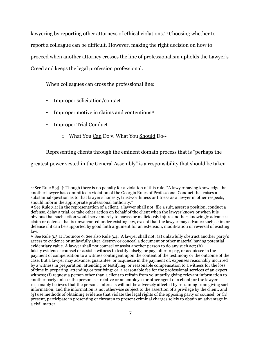lawyering by reporting other attorneys of ethical violations. <sup>10</sup> Choosing whether to report a colleague can be difficult. However, making the right decision on how to proceed when another attorney crosses the line of professionalism upholds the Lawyer's Creed and keeps the legal profession professional.

When colleagues can cross the professional line:

- Improper solicitation/contact
- Improper motive in claims and contentions<sup>11</sup>
- Improper Trial Conduct
	- o What You Can Do v. What You Should Do<sup>12</sup>

Representing clients through the eminent domain process that is "perhaps the

greatest power vested in the General Assembly" is a responsibility that should be taken

 $\overline{a}$ <sup>10</sup> See Rule 8.3(a): Though there is no penalty for a violation of this rule, "A lawyer having knowledge that another lawyer has committed a violation of the Georgia Rules of Professional Conduct that raises a substantial question as to that lawyer's honesty, trustworthiness or fitness as a lawyer in other respects, should inform the appropriate professional authority."

<sup>11</sup> See Rule 3.1: In the representation of a client, a lawyer shall not: file a suit, assert a position, conduct a defense, delay a trial, or take other action on behalf of the client when the lawyer knows or when it is obvious that such action would serve merely to harass or maliciously injure another; knowingly advance a claim or defense that is unwarranted under existing law, except that the lawyer may advance such claim or defense if it can be supported by good faith argument for an extension, modification or reversal of existing law.

<sup>&</sup>lt;sup>12</sup> See Rule 3.3 at Footnote 9. See also Rule 3.4: A lawyer shall not: (a) unlawfully obstruct another party's access to evidence or unlawfully alter, destroy or conceal a document or other material having potential evidentiary value. A lawyer shall not counsel or assist another person to do any such act; (b) falsify evidence; counsel or assist a witness to testify falsely; or pay, offer to pay, or acquiesce in the payment of compensation to a witness contingent upon the content of the testimony or the outcome of the case. But a lawyer may advance, guarantee, or acquiesce in the payment of: expenses reasonably incurred by a witness in preparation, attending or testifying; or reasonable compensation to a witness for the loss of time in preparing, attending or testifying; or a reasonable fee for the professional services of an expert witness; (f) request a person other than a client to refrain from voluntarily giving relevant information to another party unless: the person is a relative or an employee or other agent of a client; or the lawyer reasonably believes that the person's interests will not be adversely affected by refraining from giving such information; and the information is not otherwise subject to the assertion of a privilege by the client; and (g) use methods of obtaining evidence that violate the legal rights of the opposing party or counsel; or (h) present, participate in presenting or threaten to present criminal charges solely to obtain an advantage in a civil matter.